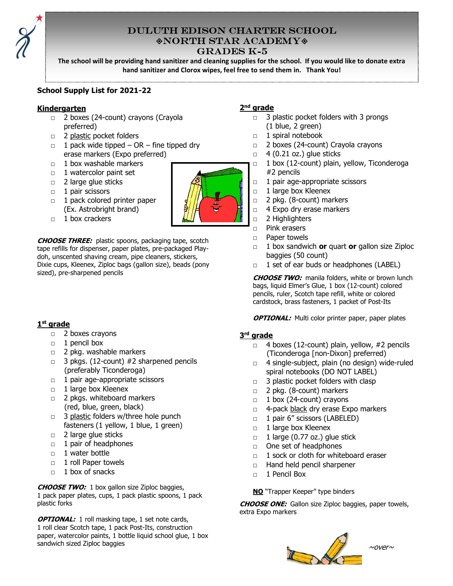

# DULUTH EDISON CHARTER SCHOOL NORTH STAR ACADEMY GRADES K-5

The school will be providing hand sanitizer and cleaning supplies for the school. If you would like to donate extra hand sanitizer and Clorox wipes, feel free to send them in. Thank You!

### School Supply List for 2021-22

#### Kindergarten

- □ 2 boxes (24-count) crayons (Crayola preferred)
- □ 2 plastic pocket folders
- $\Box$  1 pack wide tipped OR fine tipped dry erase markers (Expo preferred)
- □ 1 box washable markers
- □ 1 watercolor paint set
- □ 2 large glue sticks
- □ 1 pair scissors
- □ 1 pack colored printer paper (Ex. Astrobright brand)
- □ 1 box crackers

CHOOSE THREE: plastic spoons, packaging tape, scotch tape refills for dispenser, paper plates, pre-packaged Playdoh, unscented shaving cream, pipe cleaners, stickers, Dixie cups, Kleenex, Ziploc bags (gallon size), beads (pony sized), pre-sharpened pencils

### 1<sup>st</sup> grade

- □ 2 boxes crayons
- □ 1 pencil box
- □ 2 pkg. washable markers
- $\Box$  3 pkgs. (12-count) #2 sharpened pencils (preferably Ticonderoga)
- □ 1 pair age-appropriate scissors
- □ 1 large box Kleenex
- 2 pkgs. whiteboard markers (red, blue, green, black)
- □ 3 plastic folders w/three hole punch fasteners (1 yellow, 1 blue, 1 green)
- □ 2 large glue sticks
- □ 1 pair of headphones
- $\Box$  1 water bottle
- □ 1 roll Paper towels
- □ 1 box of snacks

**CHOOSE TWO:** 1 box gallon size Ziploc baggies, 1 pack paper plates, cups, 1 pack plastic spoons, 1 pack plastic forks

**OPTIONAL:** 1 roll masking tape, 1 set note cards, 1 roll clear Scotch tape, 1 pack Post-Its, construction paper, watercolor paints, 1 bottle liquid school glue, 1 box sandwich sized Ziploc baggies

### 2<sup>nd</sup> grade

- $\Box$  3 plastic pocket folders with 3 prongs (1 blue, 2 green)
- □ 1 spiral notebook
- □ 2 boxes (24-count) Crayola crayons
- $\Box$  4 (0.21 oz.) glue sticks
- □ 1 box (12-count) plain, yellow, Ticonderoga #2 pencils
- □ 1 pair age-appropriate scissors
- □ 1 large box Kleenex
- □ 2 pkg. (8-count) markers
- □ 4 Expo dry erase markers
- □ 2 Highlighters
- □ Pink erasers
- □ Paper towels
- $\Box$  1 box sandwich or quart or gallon size Ziploc baggies (50 count)
- □ 1 set of ear buds or headphones (LABEL)

**CHOOSE TWO:** manila folders, white or brown lunch bags, liquid Elmer's Glue, 1 box (12-count) colored pencils, ruler, Scotch tape refill, white or colored cardstock, brass fasteners, 1 packet of Post-Its

**OPTIONAL:** Multi color printer paper, paper plates

### 3<sup>rd</sup> grade

- $\Box$  4 boxes (12-count) plain, yellow, #2 pencils (Ticonderoga [non-Dixon] preferred)
- □ 4 single-subject, plain (no design) wide-ruled spiral notebooks (DO NOT LABEL)
- $\Box$  3 plastic pocket folders with clasp
- □ 2 pkg. (8-count) markers
- □ 1 box (24-count) crayons
- □ 4-pack black dry erase Expo markers
- □ 1 pair 6" scissors (LABELED)
- □ 1 large box Kleenex
- $\Box$  1 large (0.77 oz.) glue stick
- □ One set of headphones
- □ 1 sock or cloth for whiteboard eraser
- □ Hand held pencil sharpener
- □ 1 Pencil Box

NO "Trapper Keeper" type binders

**CHOOSE ONE:** Gallon size Ziploc baggies, paper towels, extra Expo markers